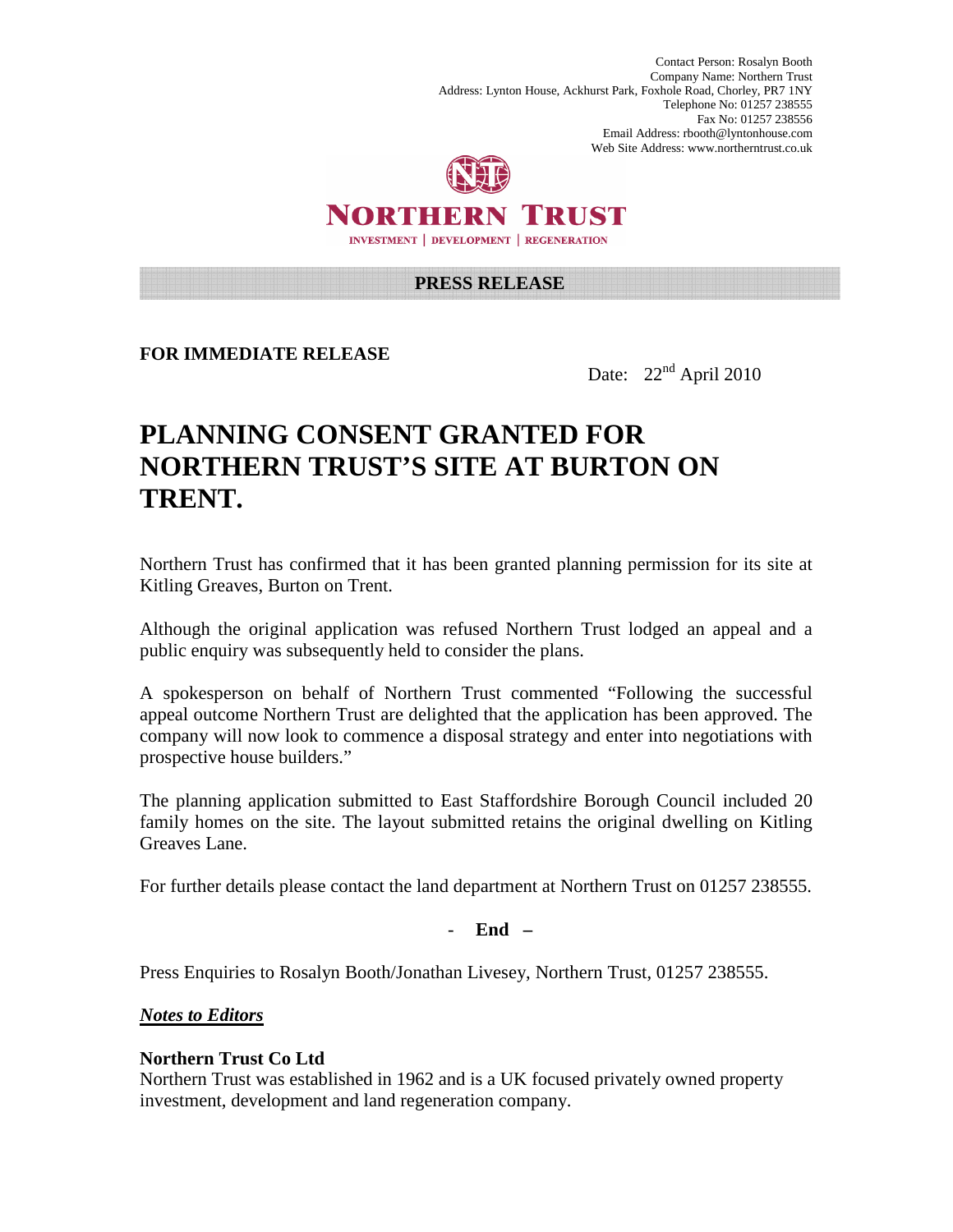Contact Person: Rosalyn Booth Company Name: Northern Trust Address: Lynton House, Ackhurst Park, Foxhole Road, Chorley, PR7 1NY Telephone No: 01257 238555 Fax No: 01257 238556 Email Address: rbooth@lyntonhouse.com Web Site Address: www.northerntrust.co.uk



**NORTHERN TRUST INVESTMENT | DEVELOPMENT | REGENERATION** 

## **PRESS RELEASE**

**FOR IMMEDIATE RELEASE** 

Date: 22<sup>nd</sup> April 2010

## **PLANNING CONSENT GRANTED FOR NORTHERN TRUST'S SITE AT BURTON ON TRENT.**

Northern Trust has confirmed that it has been granted planning permission for its site at Kitling Greaves, Burton on Trent.

Although the original application was refused Northern Trust lodged an appeal and a public enquiry was subsequently held to consider the plans.

A spokesperson on behalf of Northern Trust commented "Following the successful appeal outcome Northern Trust are delighted that the application has been approved. The company will now look to commence a disposal strategy and enter into negotiations with prospective house builders."

The planning application submitted to East Staffordshire Borough Council included 20 family homes on the site. The layout submitted retains the original dwelling on Kitling Greaves Lane.

For further details please contact the land department at Northern Trust on 01257 238555.

- **End –** 

Press Enquiries to Rosalyn Booth/Jonathan Livesey, Northern Trust, 01257 238555.

*Notes to Editors*

## **Northern Trust Co Ltd**

Northern Trust was established in 1962 and is a UK focused privately owned property investment, development and land regeneration company.